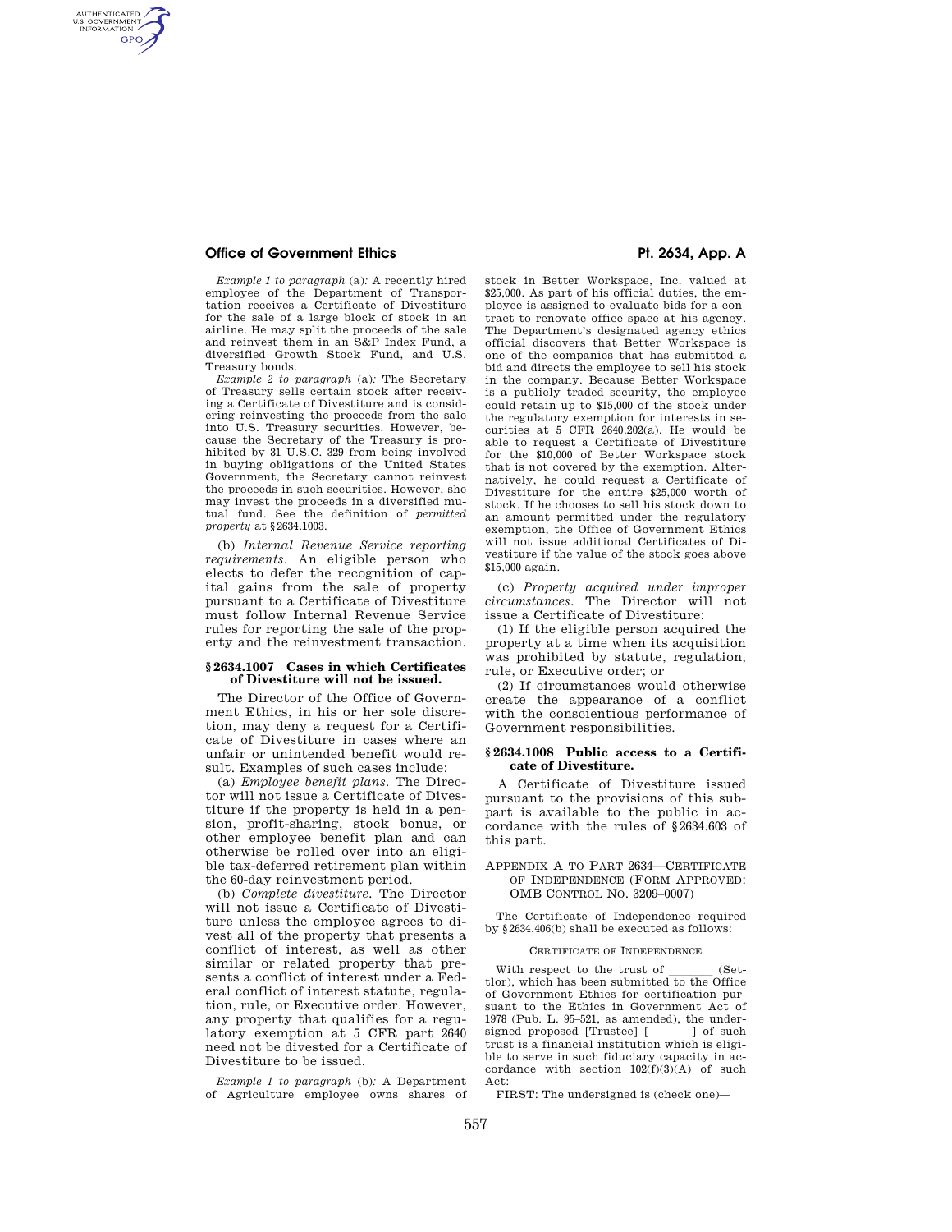# **Office of Government Ethics**  Pt. 2634, App. A

AUTHENTICATED<br>U.S. GOVERNMENT<br>INFORMATION **GPO** 

> *Example 1 to paragraph* (a)*:* A recently hired employee of the Department of Transportation receives a Certificate of Divestiture for the sale of a large block of stock in an airline. He may split the proceeds of the sale and reinvest them in an S&P Index Fund, a diversified Growth Stock Fund, and U.S. Treasury bonds.

> *Example 2 to paragraph* (a)*:* The Secretary of Treasury sells certain stock after receiving a Certificate of Divestiture and is considering reinvesting the proceeds from the sale into U.S. Treasury securities. However, because the Secretary of the Treasury is prohibited by 31 U.S.C. 329 from being involved in buying obligations of the United States Government, the Secretary cannot reinvest the proceeds in such securities. However, she may invest the proceeds in a diversified mutual fund. See the definition of *permitted property* at §2634.1003.

> (b) *Internal Revenue Service reporting requirements.* An eligible person who elects to defer the recognition of capital gains from the sale of property pursuant to a Certificate of Divestiture must follow Internal Revenue Service rules for reporting the sale of the property and the reinvestment transaction.

#### **§ 2634.1007 Cases in which Certificates of Divestiture will not be issued.**

The Director of the Office of Government Ethics, in his or her sole discretion, may deny a request for a Certificate of Divestiture in cases where an unfair or unintended benefit would result. Examples of such cases include:

(a) *Employee benefit plans.* The Director will not issue a Certificate of Divestiture if the property is held in a pension, profit-sharing, stock bonus, or other employee benefit plan and can otherwise be rolled over into an eligible tax-deferred retirement plan within the 60-day reinvestment period.

(b) *Complete divestiture.* The Director will not issue a Certificate of Divestiture unless the employee agrees to divest all of the property that presents a conflict of interest, as well as other similar or related property that presents a conflict of interest under a Federal conflict of interest statute, regulation, rule, or Executive order. However, any property that qualifies for a regulatory exemption at 5 CFR part 2640 need not be divested for a Certificate of Divestiture to be issued.

*Example 1 to paragraph* (b)*:* A Department of Agriculture employee owns shares of

stock in Better Workspace, Inc. valued at \$25,000. As part of his official duties, the employee is assigned to evaluate bids for a contract to renovate office space at his agency. The Department's designated agency ethics official discovers that Better Workspace is one of the companies that has submitted a bid and directs the employee to sell his stock in the company. Because Better Workspace is a publicly traded security, the employee could retain up to \$15,000 of the stock under the regulatory exemption for interests in securities at 5 CFR 2640.202(a). He would be able to request a Certificate of Divestiture for the \$10,000 of Better Workspace stock that is not covered by the exemption. Alternatively, he could request a Certificate of Divestiture for the entire \$25,000 worth of stock. If he chooses to sell his stock down to an amount permitted under the regulatory exemption, the Office of Government Ethics will not issue additional Certificates of Divestiture if the value of the stock goes above \$15,000 again.

(c) *Property acquired under improper circumstances.* The Director will not issue a Certificate of Divestiture:

(1) If the eligible person acquired the property at a time when its acquisition was prohibited by statute, regulation, rule, or Executive order; or

(2) If circumstances would otherwise create the appearance of a conflict with the conscientious performance of Government responsibilities.

## **§ 2634.1008 Public access to a Certificate of Divestiture.**

A Certificate of Divestiture issued pursuant to the provisions of this subpart is available to the public in accordance with the rules of §2634.603 of this part.

## APPENDIX A TO PART 2634—CERTIFICATE OF INDEPENDENCE (FORM APPROVED: OMB CONTROL NO. 3209–0007)

The Certificate of Independence required by §2634.406(b) shall be executed as follows:

## CERTIFICATE OF INDEPENDENCE

With respect to the trust of \_\_\_\_\_ (Set-<br>tlor), which has been submitted to the Office of Government Ethics for certification pursuant to the Ethics in Government Act of 1978 (Pub. L. 95–521, as amended), the undersigned proposed [Trustee] [ill] of such trust is a financial institution which is eligible to serve in such fiduciary capacity in accordance with section 102(f)(3)(A) of such Act:

FIRST: The undersigned is (check one)—